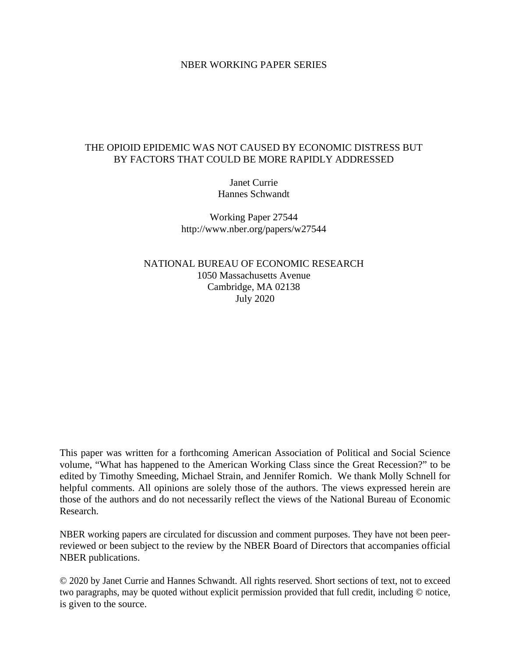#### NBER WORKING PAPER SERIES

#### THE OPIOID EPIDEMIC WAS NOT CAUSED BY ECONOMIC DISTRESS BUT BY FACTORS THAT COULD BE MORE RAPIDLY ADDRESSED

Janet Currie Hannes Schwandt

Working Paper 27544 http://www.nber.org/papers/w27544

NATIONAL BUREAU OF ECONOMIC RESEARCH 1050 Massachusetts Avenue Cambridge, MA 02138 July 2020

This paper was written for a forthcoming American Association of Political and Social Science volume, "What has happened to the American Working Class since the Great Recession?" to be edited by Timothy Smeeding, Michael Strain, and Jennifer Romich. We thank Molly Schnell for helpful comments. All opinions are solely those of the authors. The views expressed herein are those of the authors and do not necessarily reflect the views of the National Bureau of Economic Research.

NBER working papers are circulated for discussion and comment purposes. They have not been peerreviewed or been subject to the review by the NBER Board of Directors that accompanies official NBER publications.

© 2020 by Janet Currie and Hannes Schwandt. All rights reserved. Short sections of text, not to exceed two paragraphs, may be quoted without explicit permission provided that full credit, including © notice, is given to the source.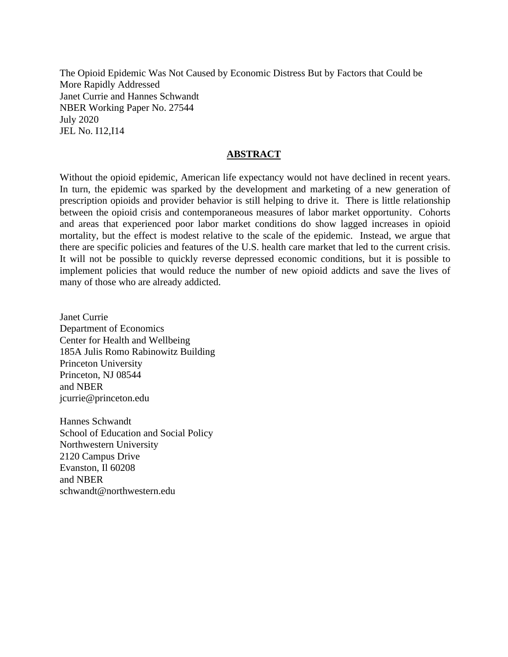The Opioid Epidemic Was Not Caused by Economic Distress But by Factors that Could be More Rapidly Addressed Janet Currie and Hannes Schwandt NBER Working Paper No. 27544 July 2020 JEL No. I12,I14

#### **ABSTRACT**

Without the opioid epidemic, American life expectancy would not have declined in recent years. In turn, the epidemic was sparked by the development and marketing of a new generation of prescription opioids and provider behavior is still helping to drive it. There is little relationship between the opioid crisis and contemporaneous measures of labor market opportunity. Cohorts and areas that experienced poor labor market conditions do show lagged increases in opioid mortality, but the effect is modest relative to the scale of the epidemic. Instead, we argue that there are specific policies and features of the U.S. health care market that led to the current crisis. It will not be possible to quickly reverse depressed economic conditions, but it is possible to implement policies that would reduce the number of new opioid addicts and save the lives of many of those who are already addicted.

Janet Currie Department of Economics Center for Health and Wellbeing 185A Julis Romo Rabinowitz Building Princeton University Princeton, NJ 08544 and NBER jcurrie@princeton.edu

Hannes Schwandt School of Education and Social Policy Northwestern University 2120 Campus Drive Evanston, Il 60208 and NBER schwandt@northwestern.edu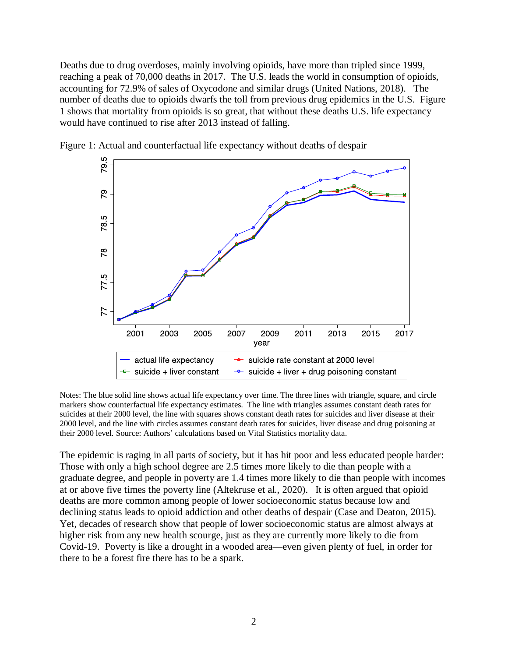Deaths due to drug overdoses, mainly involving opioids, have more than tripled since 1999, reaching a peak of 70,000 deaths in 2017. The U.S. leads the world in consumption of opioids, accounting for 72.9% of sales of Oxycodone and similar drugs (United Nations, 2018). The number of deaths due to opioids dwarfs the toll from previous drug epidemics in the U.S. Figure 1 shows that mortality from opioids is so great, that without these deaths U.S. life expectancy would have continued to rise after 2013 instead of falling.



Figure 1: Actual and counterfactual life expectancy without deaths of despair

Notes: The blue solid line shows actual life expectancy over time. The three lines with triangle, square, and circle markers show counterfactual life expectancy estimates. The line with triangles assumes constant death rates for suicides at their 2000 level, the line with squares shows constant death rates for suicides and liver disease at their 2000 level, and the line with circles assumes constant death rates for suicides, liver disease and drug poisoning at their 2000 level. Source: Authors' calculations based on Vital Statistics mortality data.

The epidemic is raging in all parts of society, but it has hit poor and less educated people harder: Those with only a high school degree are 2.5 times more likely to die than people with a graduate degree, and people in poverty are 1.4 times more likely to die than people with incomes at or above five times the poverty line (Altekruse et al., 2020). It is often argued that opioid deaths are more common among people of lower socioeconomic status because low and declining status leads to opioid addiction and other deaths of despair (Case and Deaton, 2015). Yet, decades of research show that people of lower socioeconomic status are almost always at higher risk from any new health scourge, just as they are currently more likely to die from Covid-19. Poverty is like a drought in a wooded area—even given plenty of fuel, in order for there to be a forest fire there has to be a spark.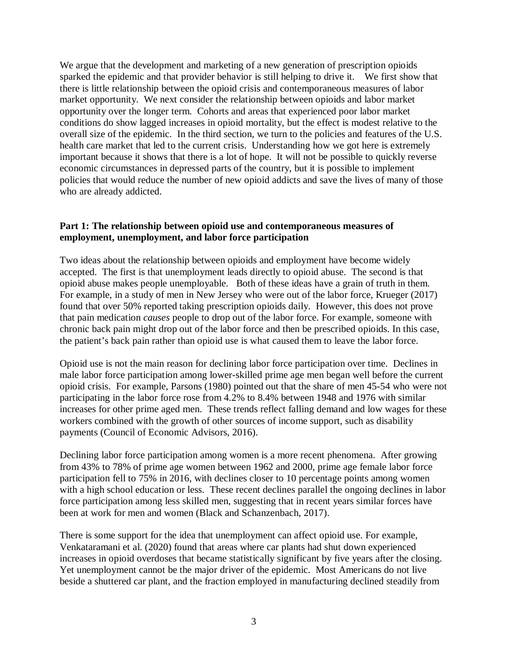We argue that the development and marketing of a new generation of prescription opioids sparked the epidemic and that provider behavior is still helping to drive it. We first show that there is little relationship between the opioid crisis and contemporaneous measures of labor market opportunity. We next consider the relationship between opioids and labor market opportunity over the longer term. Cohorts and areas that experienced poor labor market conditions do show lagged increases in opioid mortality, but the effect is modest relative to the overall size of the epidemic. In the third section, we turn to the policies and features of the U.S. health care market that led to the current crisis. Understanding how we got here is extremely important because it shows that there is a lot of hope. It will not be possible to quickly reverse economic circumstances in depressed parts of the country, but it is possible to implement policies that would reduce the number of new opioid addicts and save the lives of many of those who are already addicted.

#### **Part 1: The relationship between opioid use and contemporaneous measures of employment, unemployment, and labor force participation**

Two ideas about the relationship between opioids and employment have become widely accepted. The first is that unemployment leads directly to opioid abuse. The second is that opioid abuse makes people unemployable. Both of these ideas have a grain of truth in them. For example, in a study of men in New Jersey who were out of the labor force, Krueger (2017) found that over 50% reported taking prescription opioids daily. However, this does not prove that pain medication *causes* people to drop out of the labor force. For example, someone with chronic back pain might drop out of the labor force and then be prescribed opioids. In this case, the patient's back pain rather than opioid use is what caused them to leave the labor force.

Opioid use is not the main reason for declining labor force participation over time. Declines in male labor force participation among lower-skilled prime age men began well before the current opioid crisis. For example, Parsons (1980) pointed out that the share of men 45-54 who were not participating in the labor force rose from 4.2% to 8.4% between 1948 and 1976 with similar increases for other prime aged men. These trends reflect falling demand and low wages for these workers combined with the growth of other sources of income support, such as disability payments (Council of Economic Advisors, 2016).

Declining labor force participation among women is a more recent phenomena. After growing from 43% to 78% of prime age women between 1962 and 2000, prime age female labor force participation fell to 75% in 2016, with declines closer to 10 percentage points among women with a high school education or less. These recent declines parallel the ongoing declines in labor force participation among less skilled men, suggesting that in recent years similar forces have been at work for men and women (Black and Schanzenbach, 2017).

There is some support for the idea that unemployment can affect opioid use. For example, Venkataramani et al. (2020) found that areas where car plants had shut down experienced increases in opioid overdoses that became statistically significant by five years after the closing. Yet unemployment cannot be the major driver of the epidemic. Most Americans do not live beside a shuttered car plant, and the fraction employed in manufacturing declined steadily from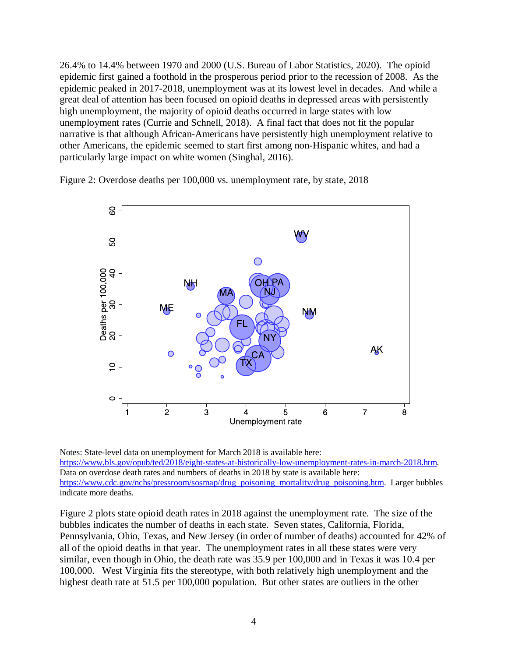26.4% to 14.4% between 1970 and 2000 (U.S. Bureau of Labor Statistics, 2020). The opioid epidemic first gained a foothold in the prosperous period prior to the recession of 2008. As the epidemic peaked in 2017-2018, unemployment was at its lowest level in decades. And while a great deal of attention has been focused on opioid deaths in depressed areas with persistently high unemployment, the majority of opioid deaths occurred in large states with low unemployment rates (Currie and Schnell, 2018). A final fact that does not fit the popular narrative is that although African-Americans have persistently high unemployment relative to other Americans, the epidemic seemed to start first among non-Hispanic whites, and had a particularly large impact on white women (Singhal, 2016).

Figure 2: Overdose deaths per 100,000 vs. unemployment rate, by state, 2018



Notes: State-level data on unemployment for March 2018 is available here: [https://www.bls.gov/opub/ted/2018/eight-states-at-historically-low-unemployment-rates-in-march-2018.htm.](https://www.bls.gov/opub/ted/2018/eight-states-at-historically-low-unemployment-rates-in-march-2018.htm) Data on overdose death rates and numbers of deaths in 2018 by state is available here: [https://www.cdc.gov/nchs/pressroom/sosmap/drug\\_poisoning\\_mortality/drug\\_poisoning.htm.](https://www.cdc.gov/nchs/pressroom/sosmap/drug_poisoning_mortality/drug_poisoning.htm) Larger bubbles indicate more deaths.

Figure 2 plots state opioid death rates in 2018 against the unemployment rate. The size of the bubbles indicates the number of deaths in each state. Seven states, California, Florida, Pennsylvania, Ohio, Texas, and New Jersey (in order of number of deaths) accounted for 42% of all of the opioid deaths in that year. The unemployment rates in all these states were very similar, even though in Ohio, the death rate was 35.9 per 100,000 and in Texas it was 10.4 per 100,000. West Virginia fits the stereotype, with both relatively high unemployment and the highest death rate at 51.5 per 100,000 population. But other states are outliers in the other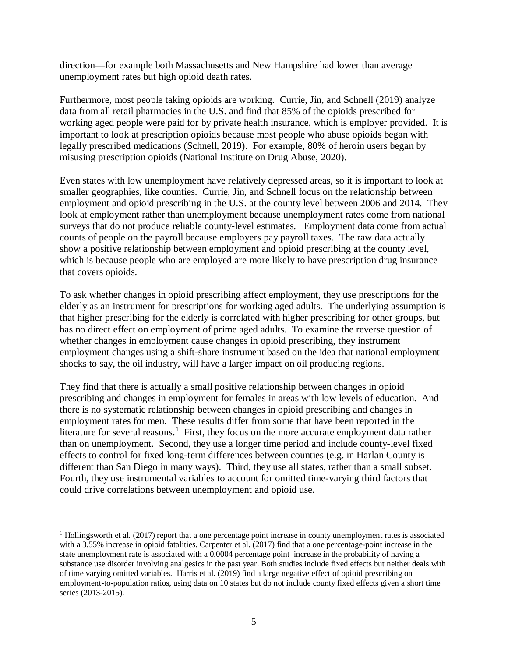direction—for example both Massachusetts and New Hampshire had lower than average unemployment rates but high opioid death rates.

Furthermore, most people taking opioids are working. Currie, Jin, and Schnell (2019) analyze data from all retail pharmacies in the U.S. and find that 85% of the opioids prescribed for working aged people were paid for by private health insurance, which is employer provided. It is important to look at prescription opioids because most people who abuse opioids began with legally prescribed medications (Schnell, 2019). For example, 80% of heroin users began by misusing prescription opioids (National Institute on Drug Abuse, 2020).

Even states with low unemployment have relatively depressed areas, so it is important to look at smaller geographies, like counties. Currie, Jin, and Schnell focus on the relationship between employment and opioid prescribing in the U.S. at the county level between 2006 and 2014. They look at employment rather than unemployment because unemployment rates come from national surveys that do not produce reliable county-level estimates. Employment data come from actual counts of people on the payroll because employers pay payroll taxes. The raw data actually show a positive relationship between employment and opioid prescribing at the county level, which is because people who are employed are more likely to have prescription drug insurance that covers opioids.

To ask whether changes in opioid prescribing affect employment, they use prescriptions for the elderly as an instrument for prescriptions for working aged adults. The underlying assumption is that higher prescribing for the elderly is correlated with higher prescribing for other groups, but has no direct effect on employment of prime aged adults. To examine the reverse question of whether changes in employment cause changes in opioid prescribing, they instrument employment changes using a shift-share instrument based on the idea that national employment shocks to say, the oil industry, will have a larger impact on oil producing regions.

They find that there is actually a small positive relationship between changes in opioid prescribing and changes in employment for females in areas with low levels of education. And there is no systematic relationship between changes in opioid prescribing and changes in employment rates for men. These results differ from some that have been reported in the literature for several reasons.<sup>[1](#page-5-0)</sup> First, they focus on the more accurate employment data rather than on unemployment. Second, they use a longer time period and include county-level fixed effects to control for fixed long-term differences between counties (e.g. in Harlan County is different than San Diego in many ways). Third, they use all states, rather than a small subset. Fourth, they use instrumental variables to account for omitted time-varying third factors that could drive correlations between unemployment and opioid use.

 $\overline{a}$ 

<span id="page-5-0"></span><sup>1</sup> Hollingsworth et al. (2017) report that a one percentage point increase in county unemployment rates is associated with a 3.55% increase in opioid fatalities. Carpenter et al. (2017) find that a one percentage-point increase in the state unemployment rate is associated with a 0.0004 percentage point increase in the probability of having a substance use disorder involving analgesics in the past year. Both studies include fixed effects but neither deals with of time varying omitted variables. Harris et al. (2019) find a large negative effect of opioid prescribing on employment-to-population ratios, using data on 10 states but do not include county fixed effects given a short time series (2013-2015).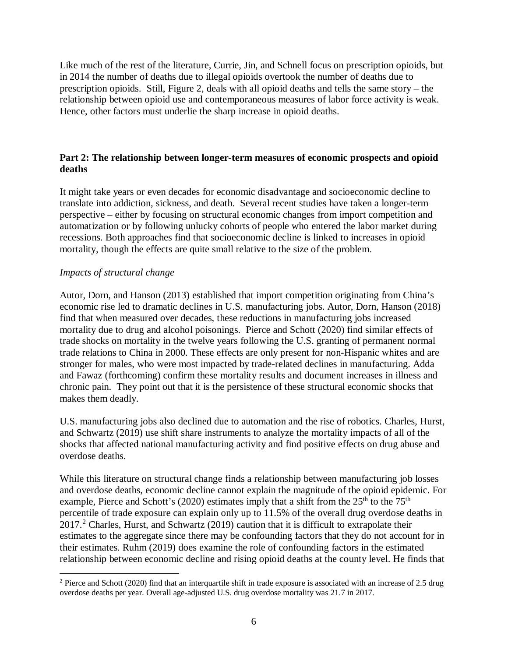Like much of the rest of the literature, Currie, Jin, and Schnell focus on prescription opioids, but in 2014 the number of deaths due to illegal opioids overtook the number of deaths due to prescription opioids. Still, Figure 2, deals with all opioid deaths and tells the same story – the relationship between opioid use and contemporaneous measures of labor force activity is weak. Hence, other factors must underlie the sharp increase in opioid deaths.

#### **Part 2: The relationship between longer-term measures of economic prospects and opioid deaths**

It might take years or even decades for economic disadvantage and socioeconomic decline to translate into addiction, sickness, and death. Several recent studies have taken a longer-term perspective – either by focusing on structural economic changes from import competition and automatization or by following unlucky cohorts of people who entered the labor market during recessions. Both approaches find that socioeconomic decline is linked to increases in opioid mortality, though the effects are quite small relative to the size of the problem.

## *Impacts of structural change*

Autor, Dorn, and Hanson (2013) established that import competition originating from China's economic rise led to dramatic declines in U.S. manufacturing jobs. Autor, Dorn, Hanson (2018) find that when measured over decades, these reductions in manufacturing jobs increased mortality due to drug and alcohol poisonings. Pierce and Schott (2020) find similar effects of trade shocks on mortality in the twelve years following the U.S. granting of permanent normal trade relations to China in 2000. These effects are only present for non-Hispanic whites and are stronger for males, who were most impacted by trade-related declines in manufacturing. Adda and Fawaz (forthcoming) confirm these mortality results and document increases in illness and chronic pain. They point out that it is the persistence of these structural economic shocks that makes them deadly.

U.S. manufacturing jobs also declined due to automation and the rise of robotics. Charles, Hurst, and Schwartz (2019) use shift share instruments to analyze the mortality impacts of all of the shocks that affected national manufacturing activity and find positive effects on drug abuse and overdose deaths.

While this literature on structural change finds a relationship between manufacturing job losses and overdose deaths, economic decline cannot explain the magnitude of the opioid epidemic. For example, Pierce and Schott's (2020) estimates imply that a shift from the  $25<sup>th</sup>$  to the  $75<sup>th</sup>$ percentile of trade exposure can explain only up to 11.5% of the overall drug overdose deaths in  $2017<sup>2</sup>$  $2017<sup>2</sup>$  Charles, Hurst, and Schwartz (2019) caution that it is difficult to extrapolate their estimates to the aggregate since there may be confounding factors that they do not account for in their estimates. Ruhm (2019) does examine the role of confounding factors in the estimated relationship between economic decline and rising opioid deaths at the county level. He finds that

<span id="page-6-0"></span> $\overline{a}$  $2$  Pierce and Schott (2020) find that an interquartile shift in trade exposure is associated with an increase of 2.5 drug overdose deaths per year. Overall age-adjusted U.S. drug overdose mortality was 21.7 in 2017.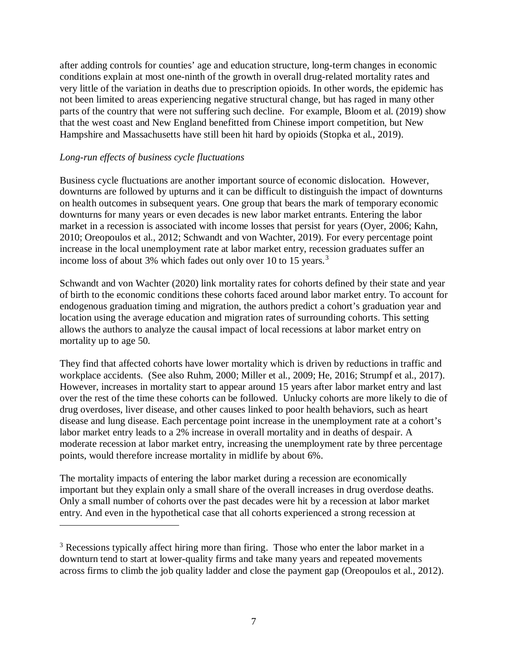after adding controls for counties' age and education structure, long-term changes in economic conditions explain at most one-ninth of the growth in overall drug-related mortality rates and very little of the variation in deaths due to prescription opioids. In other words, the epidemic has not been limited to areas experiencing negative structural change, but has raged in many other parts of the country that were not suffering such decline. For example, Bloom et al. (2019) show that the west coast and New England benefitted from Chinese import competition, but New Hampshire and Massachusetts have still been hit hard by opioids (Stopka et al., 2019).

#### *Long-run effects of business cycle fluctuations*

 $\overline{a}$ 

Business cycle fluctuations are another important source of economic dislocation. However, downturns are followed by upturns and it can be difficult to distinguish the impact of downturns on health outcomes in subsequent years. One group that bears the mark of temporary economic downturns for many years or even decades is new labor market entrants. Entering the labor market in a recession is associated with income losses that persist for years (Oyer, 2006; Kahn, 2010; Oreopoulos et al., 2012; Schwandt and von Wachter, 2019). For every percentage point increase in the local unemployment rate at labor market entry, recession graduates suffer an income loss of about [3](#page-7-0)% which fades out only over 10 to 15 years.<sup>3</sup>

Schwandt and von Wachter (2020) link mortality rates for cohorts defined by their state and year of birth to the economic conditions these cohorts faced around labor market entry. To account for endogenous graduation timing and migration, the authors predict a cohort's graduation year and location using the average education and migration rates of surrounding cohorts. This setting allows the authors to analyze the causal impact of local recessions at labor market entry on mortality up to age 50.

They find that affected cohorts have lower mortality which is driven by reductions in traffic and workplace accidents. (See also Ruhm, 2000; Miller et al., 2009; He, 2016; Strumpf et al., 2017). However, increases in mortality start to appear around 15 years after labor market entry and last over the rest of the time these cohorts can be followed. Unlucky cohorts are more likely to die of drug overdoses, liver disease, and other causes linked to poor health behaviors, such as heart disease and lung disease. Each percentage point increase in the unemployment rate at a cohort's labor market entry leads to a 2% increase in overall mortality and in deaths of despair. A moderate recession at labor market entry, increasing the unemployment rate by three percentage points, would therefore increase mortality in midlife by about 6%.

The mortality impacts of entering the labor market during a recession are economically important but they explain only a small share of the overall increases in drug overdose deaths. Only a small number of cohorts over the past decades were hit by a recession at labor market entry. And even in the hypothetical case that all cohorts experienced a strong recession at

<span id="page-7-0"></span><sup>&</sup>lt;sup>3</sup> Recessions typically affect hiring more than firing. Those who enter the labor market in a downturn tend to start at lower-quality firms and take many years and repeated movements across firms to climb the job quality ladder and close the payment gap (Oreopoulos et al., 2012).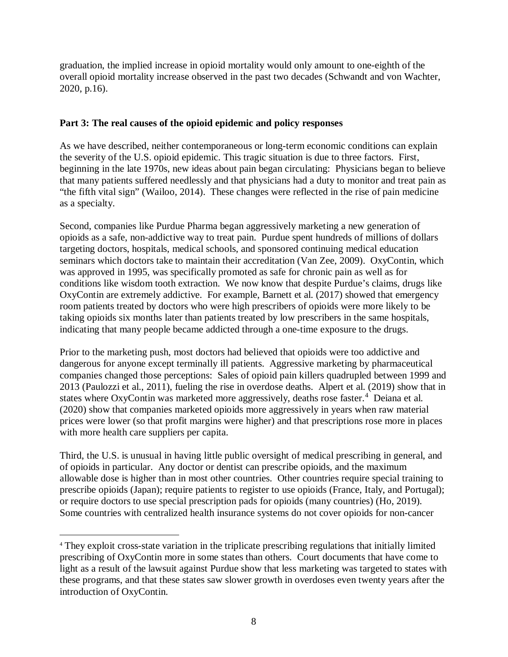graduation, the implied increase in opioid mortality would only amount to one-eighth of the overall opioid mortality increase observed in the past two decades (Schwandt and von Wachter, 2020, p.16).

# **Part 3: The real causes of the opioid epidemic and policy responses**

As we have described, neither contemporaneous or long-term economic conditions can explain the severity of the U.S. opioid epidemic. This tragic situation is due to three factors. First, beginning in the late 1970s, new ideas about pain began circulating: Physicians began to believe that many patients suffered needlessly and that physicians had a duty to monitor and treat pain as "the fifth vital sign" (Wailoo, 2014). These changes were reflected in the rise of pain medicine as a specialty.

Second, companies like Purdue Pharma began aggressively marketing a new generation of opioids as a safe, non-addictive way to treat pain. Purdue spent hundreds of millions of dollars targeting doctors, hospitals, medical schools, and sponsored continuing medical education seminars which doctors take to maintain their accreditation (Van Zee, 2009). OxyContin, which was approved in 1995, was specifically promoted as safe for chronic pain as well as for conditions like wisdom tooth extraction. We now know that despite Purdue's claims, drugs like OxyContin are extremely addictive. For example, Barnett et al. (2017) showed that emergency room patients treated by doctors who were high prescribers of opioids were more likely to be taking opioids six months later than patients treated by low prescribers in the same hospitals, indicating that many people became addicted through a one-time exposure to the drugs.

Prior to the marketing push, most doctors had believed that opioids were too addictive and dangerous for anyone except terminally ill patients. Aggressive marketing by pharmaceutical companies changed those perceptions: Sales of opioid pain killers quadrupled between 1999 and 2013 (Paulozzi et al., 2011), fueling the rise in overdose deaths. Alpert et al. (2019) show that in states where OxyContin was marketed more aggressively, deaths rose faster.<sup>[4](#page-8-0)</sup> Deiana et al. (2020) show that companies marketed opioids more aggressively in years when raw material prices were lower (so that profit margins were higher) and that prescriptions rose more in places with more health care suppliers per capita.

Third, the U.S. is unusual in having little public oversight of medical prescribing in general, and of opioids in particular. Any doctor or dentist can prescribe opioids, and the maximum allowable dose is higher than in most other countries. Other countries require special training to prescribe opioids (Japan); require patients to register to use opioids (France, Italy, and Portugal); or require doctors to use special prescription pads for opioids (many countries) (Ho, 2019). Some countries with centralized health insurance systems do not cover opioids for non-cancer

 $\overline{a}$ 

<span id="page-8-0"></span><sup>4</sup> They exploit cross-state variation in the triplicate prescribing regulations that initially limited prescribing of OxyContin more in some states than others. Court documents that have come to light as a result of the lawsuit against Purdue show that less marketing was targeted to states with these programs, and that these states saw slower growth in overdoses even twenty years after the introduction of OxyContin.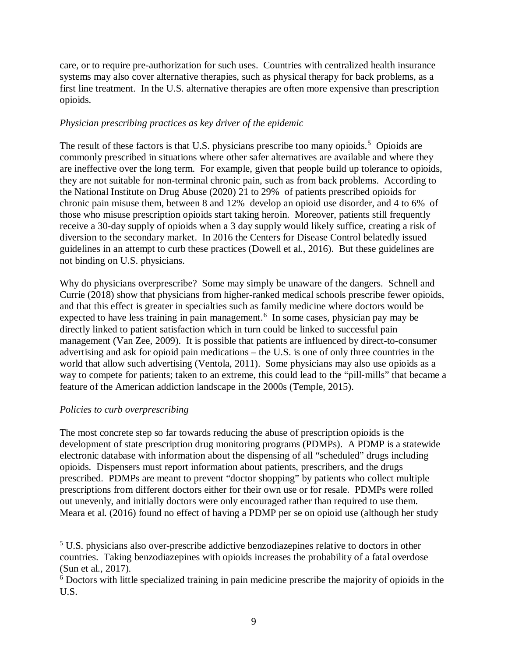care, or to require pre-authorization for such uses. Countries with centralized health insurance systems may also cover alternative therapies, such as physical therapy for back problems, as a first line treatment. In the U.S. alternative therapies are often more expensive than prescription opioids.

## *Physician prescribing practices as key driver of the epidemic*

The result of these factors is that U.S. physicians prescribe too many opioids.<sup>[5](#page-9-0)</sup> Opioids are commonly prescribed in situations where other safer alternatives are available and where they are ineffective over the long term. For example, given that people build up tolerance to opioids, they are not suitable for non-terminal chronic pain, such as from back problems. According to the National Institute on Drug Abuse (2020) 21 to 29% of patients prescribed opioids for chronic pain misuse them, between 8 and 12% develop an opioid use disorder, and 4 to 6% of those who misuse prescription opioids start taking heroin. Moreover, patients still frequently receive a 30-day supply of opioids when a 3 day supply would likely suffice, creating a risk of diversion to the secondary market. In 2016 the Centers for Disease Control belatedly issued guidelines in an attempt to curb these practices (Dowell et al., 2016). But these guidelines are not binding on U.S. physicians.

Why do physicians overprescribe? Some may simply be unaware of the dangers. Schnell and Currie (2018) show that physicians from higher-ranked medical schools prescribe fewer opioids, and that this effect is greater in specialties such as family medicine where doctors would be expected to have less training in pain management.<sup>[6](#page-9-1)</sup> In some cases, physician pay may be directly linked to patient satisfaction which in turn could be linked to successful pain management (Van Zee, 2009). It is possible that patients are influenced by direct-to-consumer advertising and ask for opioid pain medications – the U.S. is one of only three countries in the world that allow such advertising (Ventola, 2011). Some physicians may also use opioids as a way to compete for patients; taken to an extreme, this could lead to the "pill-mills" that became a feature of the American addiction landscape in the 2000s (Temple, 2015).

## *Policies to curb overprescribing*

 $\overline{a}$ 

The most concrete step so far towards reducing the abuse of prescription opioids is the development of state prescription drug monitoring programs (PDMPs). A PDMP is a statewide electronic database with information about the dispensing of all "scheduled" drugs including opioids. Dispensers must report information about patients, prescribers, and the drugs prescribed. PDMPs are meant to prevent "doctor shopping" by patients who collect multiple prescriptions from different doctors either for their own use or for resale. PDMPs were rolled out unevenly, and initially doctors were only encouraged rather than required to use them. Meara et al. (2016) found no effect of having a PDMP per se on opioid use (although her study

<span id="page-9-0"></span><sup>5</sup> U.S. physicians also over-prescribe addictive benzodiazepines relative to doctors in other countries. Taking benzodiazepines with opioids increases the probability of a fatal overdose (Sun et al., 2017).

<span id="page-9-1"></span><sup>&</sup>lt;sup>6</sup> Doctors with little specialized training in pain medicine prescribe the majority of opioids in the U.S.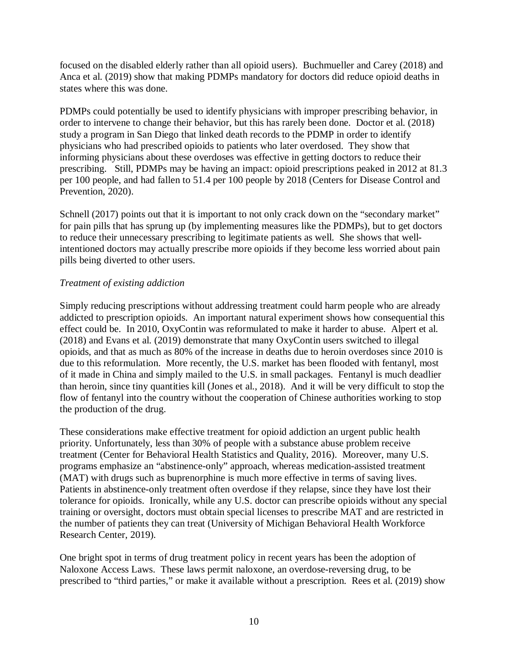focused on the disabled elderly rather than all opioid users). Buchmueller and Carey (2018) and Anca et al. (2019) show that making PDMPs mandatory for doctors did reduce opioid deaths in states where this was done.

PDMPs could potentially be used to identify physicians with improper prescribing behavior, in order to intervene to change their behavior, but this has rarely been done. Doctor et al. (2018) study a program in San Diego that linked death records to the PDMP in order to identify physicians who had prescribed opioids to patients who later overdosed. They show that informing physicians about these overdoses was effective in getting doctors to reduce their prescribing. Still, PDMPs may be having an impact: opioid prescriptions peaked in 2012 at 81.3 per 100 people, and had fallen to 51.4 per 100 people by 2018 (Centers for Disease Control and Prevention, 2020).

Schnell (2017) points out that it is important to not only crack down on the "secondary market" for pain pills that has sprung up (by implementing measures like the PDMPs), but to get doctors to reduce their unnecessary prescribing to legitimate patients as well. She shows that wellintentioned doctors may actually prescribe more opioids if they become less worried about pain pills being diverted to other users.

## *Treatment of existing addiction*

Simply reducing prescriptions without addressing treatment could harm people who are already addicted to prescription opioids. An important natural experiment shows how consequential this effect could be. In 2010, OxyContin was reformulated to make it harder to abuse. Alpert et al. (2018) and Evans et al. (2019) demonstrate that many OxyContin users switched to illegal opioids, and that as much as 80% of the increase in deaths due to heroin overdoses since 2010 is due to this reformulation. More recently, the U.S. market has been flooded with fentanyl, most of it made in China and simply mailed to the U.S. in small packages. Fentanyl is much deadlier than heroin, since tiny quantities kill (Jones et al., 2018). And it will be very difficult to stop the flow of fentanyl into the country without the cooperation of Chinese authorities working to stop the production of the drug.

These considerations make effective treatment for opioid addiction an urgent public health priority. Unfortunately, less than 30% of people with a substance abuse problem receive treatment (Center for Behavioral Health Statistics and Quality, 2016). Moreover, many U.S. programs emphasize an "abstinence-only" approach, whereas medication-assisted treatment (MAT) with drugs such as buprenorphine is much more effective in terms of saving lives. Patients in abstinence-only treatment often overdose if they relapse, since they have lost their tolerance for opioids. Ironically, while any U.S. doctor can prescribe opioids without any special training or oversight, doctors must obtain special licenses to prescribe MAT and are restricted in the number of patients they can treat (University of Michigan Behavioral Health Workforce Research Center, 2019).

One bright spot in terms of drug treatment policy in recent years has been the adoption of Naloxone Access Laws. These laws permit naloxone, an overdose-reversing drug, to be prescribed to "third parties," or make it available without a prescription. Rees et al. (2019) show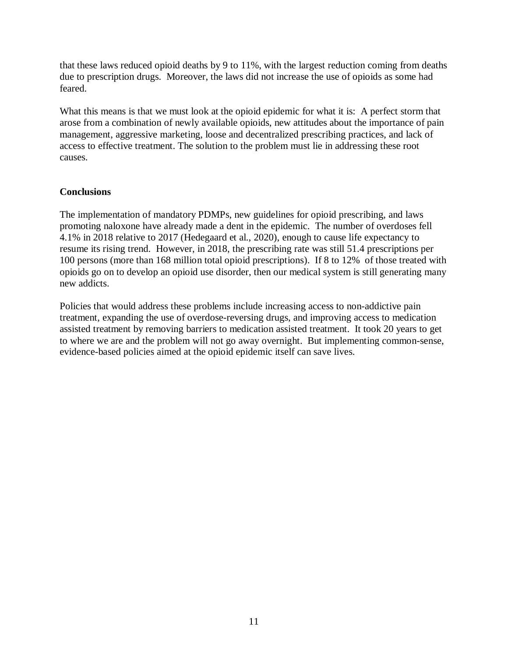that these laws reduced opioid deaths by 9 to 11%, with the largest reduction coming from deaths due to prescription drugs. Moreover, the laws did not increase the use of opioids as some had feared.

What this means is that we must look at the opioid epidemic for what it is: A perfect storm that arose from a combination of newly available opioids, new attitudes about the importance of pain management, aggressive marketing, loose and decentralized prescribing practices, and lack of access to effective treatment. The solution to the problem must lie in addressing these root causes.

## **Conclusions**

The implementation of mandatory PDMPs, new guidelines for opioid prescribing, and laws promoting naloxone have already made a dent in the epidemic. The number of overdoses fell 4.1% in 2018 relative to 2017 (Hedegaard et al., 2020), enough to cause life expectancy to resume its rising trend. However, in 2018, the prescribing rate was still 51.4 prescriptions per 100 persons (more than 168 million total opioid prescriptions). If 8 to 12% of those treated with opioids go on to develop an opioid use disorder, then our medical system is still generating many new addicts.

Policies that would address these problems include increasing access to non-addictive pain treatment, expanding the use of overdose-reversing drugs, and improving access to medication assisted treatment by removing barriers to medication assisted treatment. It took 20 years to get to where we are and the problem will not go away overnight. But implementing common-sense, evidence-based policies aimed at the opioid epidemic itself can save lives.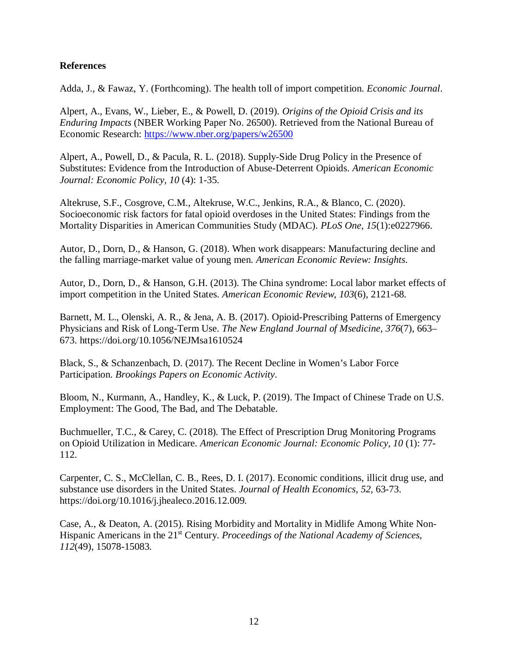#### **References**

Adda, J., & Fawaz, Y. (Forthcoming). The health toll of import competition. *Economic Journal*.

Alpert, A., Evans, W., Lieber, E., & Powell, D. (2019). *Origins of the Opioid Crisis and its Enduring Impacts* (NBER Working Paper No. 26500). Retrieved from the National Bureau of Economic Research:<https://www.nber.org/papers/w26500>

Alpert, A., Powell, D., & Pacula, R. L. (2018). Supply-Side Drug Policy in the Presence of Substitutes: Evidence from the Introduction of Abuse-Deterrent Opioids. *American Economic Journal: Economic Policy, 10* (4): 1-35.

Altekruse, S.F., Cosgrove, C.M., Altekruse, W.C., Jenkins, R.A., & Blanco, C. (2020). Socioeconomic risk factors for fatal opioid overdoses in the United States: Findings from the Mortality Disparities in American Communities Study (MDAC). *PLoS One*, *15*(1):e0227966.

Autor, D., Dorn, D., & Hanson, G. (2018). When work disappears: Manufacturing decline and the falling marriage-market value of young men. *American Economic Review: Insights*.

Autor, D., Dorn, D., & Hanson, G.H. (2013). The China syndrome: Local labor market effects of import competition in the United States. *American Economic Review*, *103*(6), 2121-68.

Barnett, M. L., Olenski, A. R., & Jena, A. B. (2017). Opioid-Prescribing Patterns of Emergency Physicians and Risk of Long-Term Use. *The New England Journal of Msedicine*, *376*(7), 663– 673. https://doi.org/10.1056/NEJMsa1610524

Black, S., & Schanzenbach, D. (2017). The Recent Decline in Women's Labor Force Participation. *Brookings Papers on Economic Activity*.

Bloom, N., Kurmann, A., Handley, K., & Luck, P. (2019). The Impact of Chinese Trade on U.S. Employment: The Good, The Bad, and The Debatable.

Buchmueller, T.C., & Carey, C. (2018)*.* The Effect of Prescription Drug Monitoring Programs on Opioid Utilization in Medicare. *American Economic Journal: Economic Policy, 10* (1): 77- 112.

Carpenter, C. S., McClellan, C. B., Rees, D. I. (2017). Economic conditions, illicit drug use, and substance use disorders in the United States. *Journal of Health Economics, 52,* 63-73. https://doi.org/10.1016/j.jhealeco.2016.12.009.

Case, A., & Deaton, A. (2015). Rising Morbidity and Mortality in Midlife Among White Non-Hispanic Americans in the 21st Century. *Proceedings of the National Academy of Sciences*, *112*(49), 15078-15083.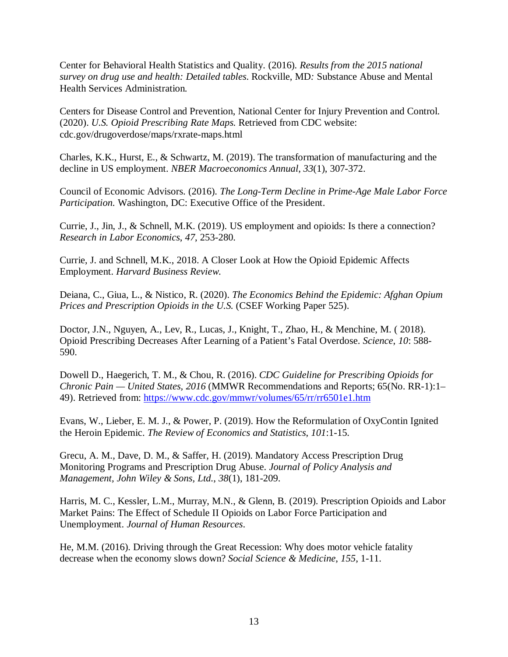Center for Behavioral Health Statistics and Quality*.* (2016)*. Results from the 2015 national survey on drug use and health: Detailed tables*. Rockville, MD*:* Substance Abuse and Mental Health Services Administration*.* 

Centers for Disease Control and Prevention, National Center for Injury Prevention and Control. (2020). *U.S. Opioid Prescribing Rate Maps*. Retrieved from CDC website: cdc.gov/drugoverdose/maps/rxrate-maps.html

Charles, K.K., Hurst, E., & Schwartz, M. (2019). The transformation of manufacturing and the decline in US employment. *NBER Macroeconomics Annual*, *33*(1), 307-372.

Council of Economic Advisors. (2016). *The Long-Term Decline in Prime-Age Male Labor Force Participation.* Washington, DC: Executive Office of the President.

Currie, J., Jin, J., & Schnell, M.K. (2019). US employment and opioids: Is there a connection? *Research in Labor Economics*, *47*, 253-280.

Currie, J. and Schnell, M.K., 2018. A Closer Look at How the Opioid Epidemic Affects Employment. *Harvard Business Review*.

Deiana, C., Giua, L., & Nistico, R. (2020). *The Economics Behind the Epidemic: Afghan Opium Prices and Prescription Opioids in the U.S.* (CSEF Working Paper 525).

Doctor, J.N., Nguyen, A., Lev, R., Lucas, J., Knight, T., Zhao, H., & Menchine, M. ( 2018). Opioid Prescribing Decreases After Learning of a Patient's Fatal Overdose. *Science*, *10*: 588- 590.

Dowell D., Haegerich, T. M., & Chou, R. (2016). *CDC Guideline for Prescribing Opioids for Chronic Pain — United States, 2016* (MMWR Recommendations and Reports; 65(No. RR-1):1– 49). Retrieved from:<https://www.cdc.gov/mmwr/volumes/65/rr/rr6501e1.htm>

Evans, W., Lieber, E. M. J., & Power, P. (2019). How the Reformulation of OxyContin Ignited the Heroin Epidemic. *The Review of Economics and Statistics*, *101*:1-15.

Grecu, A. M., Dave, D. M., & Saffer, H. (2019). Mandatory Access Prescription Drug Monitoring Programs and Prescription Drug Abuse. *Journal of Policy Analysis and Management, John Wiley & Sons, Ltd.*, *38*(1), 181-209.

Harris, M. C., Kessler, L.M., Murray, M.N., & Glenn, B. (2019). Prescription Opioids and Labor Market Pains: The Effect of Schedule II Opioids on Labor Force Participation and Unemployment. *Journal of Human Resources*.

He, M.M. (2016). Driving through the Great Recession: Why does motor vehicle fatality decrease when the economy slows down? *Social Science & Medicine*, *155*, 1-11.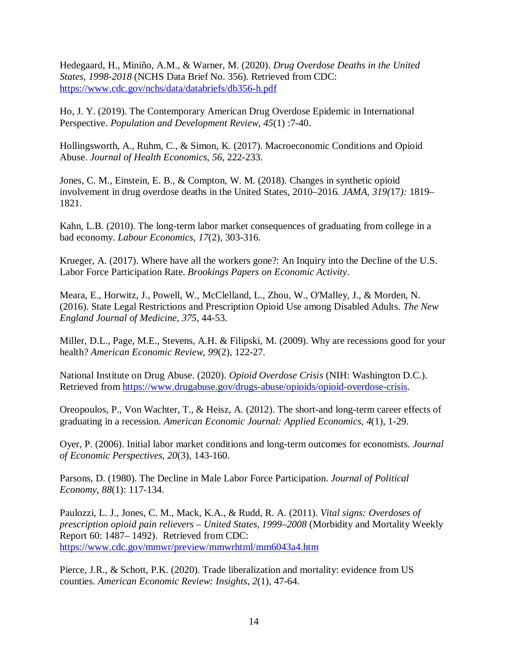Hedegaard, H., Miniño, A.M., & Warner, M. (2020). *Drug Overdose Deaths in the United States, 1998-2018* (NCHS Data Brief No. 356). Retrieved from CDC: <https://www.cdc.gov/nchs/data/databriefs/db356-h.pdf>

Ho, J. Y. (2019). The Contemporary American Drug Overdose Epidemic in International Perspective. *Population and Development Review*, *45*(1) :7-40.

Hollingsworth, A., Ruhm, C., & Simon, K. (2017). Macroeconomic Conditions and Opioid Abuse. *Journal of Health Economics*, *56*, 222-233.

Jones, C. M.*,* Einstein*,* E. B., & Compton, W. M*.* (2018)*.* Changes in synthetic opioid involvement in drug overdose deaths in the United States, 2010–2016*. JAMA, 319(*17*):* 1819*–* 1821*.* 

Kahn, L.B. (2010). The long-term labor market consequences of graduating from college in a bad economy. *Labour Economics*, *17*(2), 303-316.

Krueger, A. (2017). Where have all the workers gone?: An Inquiry into the Decline of the U.S. Labor Force Participation Rate. *Brookings Papers on Economic Activity*.

Meara, E., Horwitz, J., Powell, W., McClelland, L., Zhou, W., O'Malley, J., & Morden, N. (2016). State Legal Restrictions and Prescription Opioid Use among Disabled Adults. *The New England Journal of Medicine*, *375*, 44-53.

Miller, D.L., Page, M.E., Stevens, A.H. & Filipski, M. (2009). Why are recessions good for your health? *American Economic Review*, *99*(2), 122-27.

National Institute on Drug Abuse. (2020). *Opioid Overdose Crisis* (NIH: Washington D.C.). Retrieved from [https://www.drugabuse.gov/drugs-abuse/opioids/opioid-overdose-crisis.](https://www.drugabuse.gov/drugs-abuse/opioids/opioid-overdose-crisis)

Oreopoulos, P., Von Wachter, T., & Heisz, A. (2012). The short-and long-term career effects of graduating in a recession. *American Economic Journal: Applied Economics*, *4*(1), 1-29.

Oyer, P. (2006). Initial labor market conditions and long-term outcomes for economists. *Journal of Economic Perspectives*, *20*(3), 143-160.

Parsons, D. (1980). The Decline in Male Labor Force Participation. *Journal of Political Economy*, *88*(1): 117-134.

Paulozzi, L. J., Jones, C. M., Mack, K.A., & Rudd, R. A. (2011). *Vital signs: Overdoses of prescription opioid pain relievers – United States, 1999–2008* (Morbidity and Mortality Weekly Report 60: 1487– 1492). Retrieved from CDC: <https://www.cdc.gov/mmwr/preview/mmwrhtml/mm6043a4.htm>

Pierce, J.R., & Schott, P.K. (2020). Trade liberalization and mortality: evidence from US counties. *American Economic Review: Insights*, *2*(1), 47-64.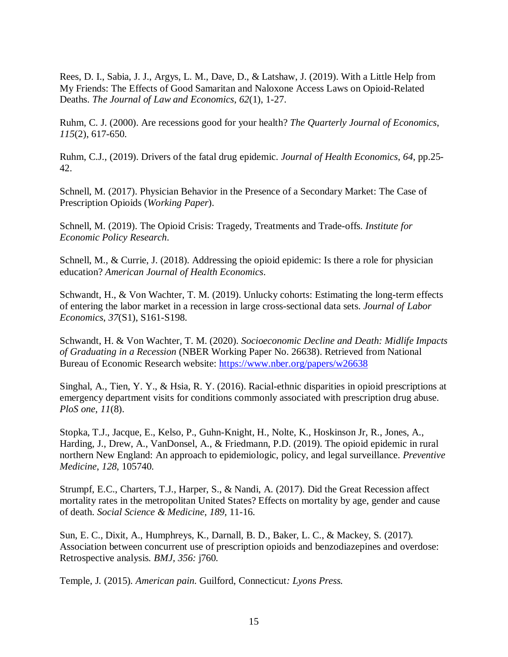Rees, D. I., Sabia, J. J., Argys, L. M., Dave, D., & Latshaw, J. (2019). With a Little Help from My Friends: The Effects of Good Samaritan and Naloxone Access Laws on Opioid-Related Deaths. *The Journal of Law and Economics*, *62*(1), 1-27.

Ruhm, C. J. (2000). Are recessions good for your health? *The Quarterly Journal of Economics*, *115*(2), 617-650.

Ruhm, C.J., (2019). Drivers of the fatal drug epidemic. *Journal of Health Economics*, *64*, pp.25- 42.

Schnell, M. (2017). Physician Behavior in the Presence of a Secondary Market: The Case of Prescription Opioids (*Working Paper*).

Schnell, M. (2019). The Opioid Crisis: Tragedy, Treatments and Trade-offs. *Institute for Economic Policy Research*.

Schnell, M., & Currie, J. (2018). Addressing the opioid epidemic: Is there a role for physician education? *American Journal of Health Economics*.

Schwandt, H., & Von Wachter, T. M. (2019). Unlucky cohorts: Estimating the long-term effects of entering the labor market in a recession in large cross-sectional data sets. *Journal of Labor Economics*, *37*(S1), S161-S198.

Schwandt, H. & Von Wachter, T. M. (2020). *Socioeconomic Decline and Death: Midlife Impacts of Graduating in a Recession* (NBER Working Paper No. 26638). Retrieved from National Bureau of Economic Research website:<https://www.nber.org/papers/w26638>

Singhal, A., Tien, Y. Y., & Hsia, R. Y. (2016). Racial-ethnic disparities in opioid prescriptions at emergency department visits for conditions commonly associated with prescription drug abuse. *PloS one*, *11*(8).

Stopka, T.J., Jacque, E., Kelso, P., Guhn-Knight, H., Nolte, K., Hoskinson Jr, R., Jones, A., Harding, J., Drew, A., VanDonsel, A., & Friedmann, P.D. (2019). The opioid epidemic in rural northern New England: An approach to epidemiologic, policy, and legal surveillance. *Preventive Medicine*, *128*, 105740.

Strumpf, E.C., Charters, T.J., Harper, S., & Nandi, A. (2017). Did the Great Recession affect mortality rates in the metropolitan United States? Effects on mortality by age, gender and cause of death. *Social Science & Medicine*, *189*, 11-16.

Sun, E. C.*,* Dixit, A., Humphreys*,* K., Darnall*,* B. D., Baker, L. C., & Mackey, S*.* (2017)*.*  Association between concurrent use of prescription opioids and benzodiazepines and overdose: Retrospective analysis*. BMJ, 356:* j760*.*

Temple, J*.* (2015)*. American pain.* Guilford, Connecticut*: Lyons Press.*